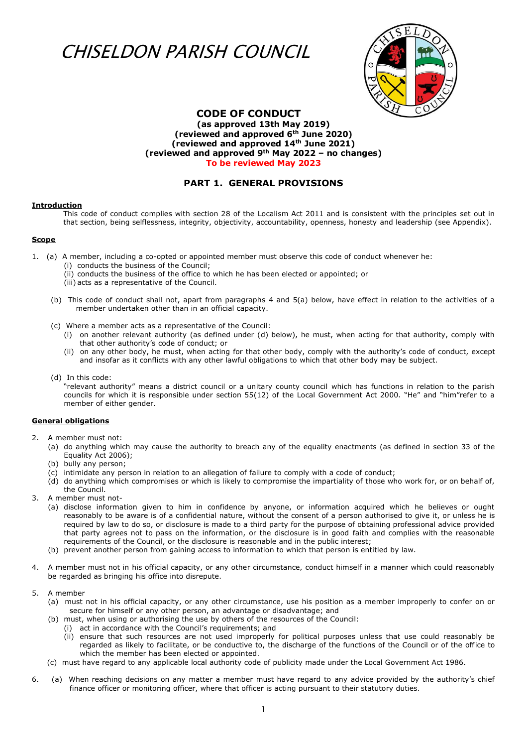# CHISELDON PARISH COUNCIL



# **CODE OF CONDUCT**

**(as approved 13th May 2019) (reviewed and approved 6th June 2020) (reviewed and approved 14th June 2021) (reviewed and approved 9th May 2022 – no changes) To be reviewed May 2023**

# **PART 1. GENERAL PROVISIONS**

# **Introduction**

This code of conduct complies with section 28 of the Localism Act 2011 and is consistent with the principles set out in that section, being selflessness, integrity, objectivity, accountability, openness, honesty and leadership (see Appendix).

# **Scope**

- 1. (a) A member, including a co-opted or appointed member must observe this code of conduct whenever he:
	- (i) conducts the business of the Council;
	- (ii) conducts the business of the office to which he has been elected or appointed; or
	- (iii) acts as a representative of the Council.
	- (b) This code of conduct shall not, apart from paragraphs 4 and 5(a) below, have effect in relation to the activities of a member undertaken other than in an official capacity.
	- (c) Where a member acts as a representative of the Council:
		- (i) on another relevant authority (as defined under (d) below), he must, when acting for that authority, comply with that other authority's code of conduct; or
		- (ii) on any other body, he must, when acting for that other body, comply with the authority's code of conduct, except and insofar as it conflicts with any other lawful obligations to which that other body may be subject.
	- (d) In this code:

"relevant authority" means a district council or a unitary county council which has functions in relation to the parish councils for which it is responsible under section 55(12) of the Local Government Act 2000. "He" and "him"refer to a member of either gender.

# **General obligations**

- 2. A member must not:
	- (a) do anything which may cause the authority to breach any of the equality enactments (as defined in section 33 of the Equality Act 2006);
	- (b) bully any person;
	- (c) intimidate any person in relation to an allegation of failure to comply with a code of conduct;
	- (d) do anything which compromises or which is likely to compromise the impartiality of those who work for, or on behalf of, the Council.
- 3. A member must not-
	- (a) disclose information given to him in confidence by anyone, or information acquired which he believes or ought reasonably to be aware is of a confidential nature, without the consent of a person authorised to give it, or unless he is required by law to do so, or disclosure is made to a third party for the purpose of obtaining professional advice provided that party agrees not to pass on the information, or the disclosure is in good faith and complies with the reasonable requirements of the Council, or the disclosure is reasonable and in the public interest;
	- (b) prevent another person from gaining access to information to which that person is entitled by law.
- 4. A member must not in his official capacity, or any other circumstance, conduct himself in a manner which could reasonably be regarded as bringing his office into disrepute.
- 5. A member
	- (a) must not in his official capacity, or any other circumstance, use his position as a member improperly to confer on or secure for himself or any other person, an advantage or disadvantage; and
	- (b) must, when using or authorising the use by others of the resources of the Council:
		- (i) act in accordance with the Council's requirements; and
			- (ii) ensure that such resources are not used improperly for political purposes unless that use could reasonably be regarded as likely to facilitate, or be conductive to, the discharge of the functions of the Council or of the office to which the member has been elected or appointed.
	- (c) must have regard to any applicable local authority code of publicity made under the Local Government Act 1986.
- 6. (a) When reaching decisions on any matter a member must have regard to any advice provided by the authority's chief finance officer or monitoring officer, where that officer is acting pursuant to their statutory duties.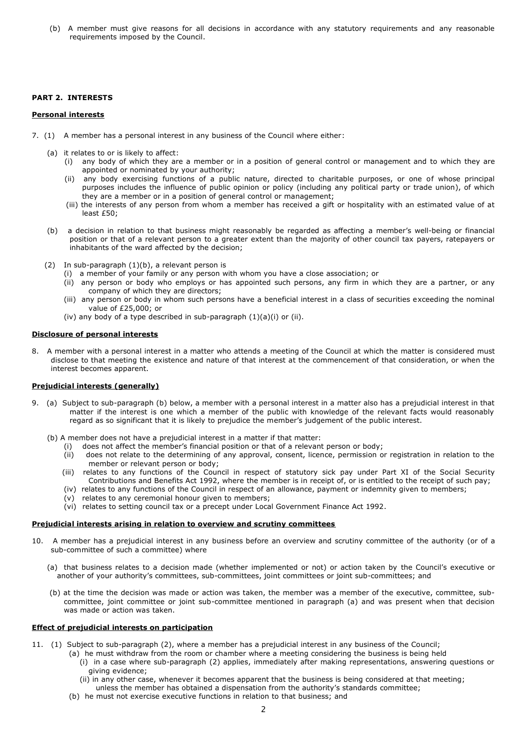(b) A member must give reasons for all decisions in accordance with any statutory requirements and any reasonable requirements imposed by the Council.

# **PART 2. INTERESTS**

## **Personal interests**

- 7. (1) A member has a personal interest in any business of the Council where either:
	- (a) it relates to or is likely to affect:
		- (i) any body of which they are a member or in a position of general control or management and to which they are appointed or nominated by your authority;
		- (ii) any body exercising functions of a public nature, directed to charitable purposes, or one of whose principal purposes includes the influence of public opinion or policy (including any political party or trade union), of which they are a member or in a position of general control or management;
		- (iii) the interests of any person from whom a member has received a gift or hospitality with an estimated value of at least £50;
	- (b) a decision in relation to that business might reasonably be regarded as affecting a member's well-being or financial position or that of a relevant person to a greater extent than the majority of other council tax payers, ratepayers or inhabitants of the ward affected by the decision;
	- (2) In sub-paragraph (1)(b), a relevant person is
		- (i) a member of your family or any person with whom you have a close association; or
		- (ii) any person or body who employs or has appointed such persons, any firm in which they are a partner, or any company of which they are directors;
		- (iii) any person or body in whom such persons have a beneficial interest in a class of securities exceeding the nominal value of £25,000; or
		- (iv) any body of a type described in sub-paragraph  $(1)(a)(i)$  or (ii).

#### **Disclosure of personal interests**

8. A member with a personal interest in a matter who attends a meeting of the Council at which the matter is considered must disclose to that meeting the existence and nature of that interest at the commencement of that consideration, or when the interest becomes apparent.

#### **Prejudicial interests (generally)**

- 9. (a) Subject to sub-paragraph (b) below, a member with a personal interest in a matter also has a prejudicial interest in that matter if the interest is one which a member of the public with knowledge of the relevant facts would reasonably regard as so significant that it is likely to prejudice the member's judgement of the public interest.
	- (b) A member does not have a prejudicial interest in a matter if that matter:
		- (i) does not affect the member's financial position or that of a relevant person or body;
		- (ii) does not relate to the determining of any approval, consent, licence, permission or registration in relation to the member or relevant person or body;
		- (iii) relates to any functions of the Council in respect of statutory sick pay under Part XI of the Social Security Contributions and Benefits Act 1992, where the member is in receipt of, or is entitled to the receipt of such pay;
		- (iv) relates to any functions of the Council in respect of an allowance, payment or indemnity given to members;
		- (v) relates to any ceremonial honour given to members;
		- (vi) relates to setting council tax or a precept under Local Government Finance Act 1992.

#### **Prejudicial interests arising in relation to overview and scrutiny committees**

- 10. A member has a prejudicial interest in any business before an overview and scrutiny committee of the authority (or of a sub-committee of such a committee) where
	- (a) that business relates to a decision made (whether implemented or not) or action taken by the Council's executive or another of your authority's committees, sub-committees, joint committees or joint sub-committees; and
	- (b) at the time the decision was made or action was taken, the member was a member of the executive, committee, subcommittee, joint committee or joint sub-committee mentioned in paragraph (a) and was present when that decision was made or action was taken.

#### **Effect of prejudicial interests on participation**

- 11. (1) Subject to sub-paragraph (2), where a member has a prejudicial interest in any business of the Council;
	- (a) he must withdraw from the room or chamber where a meeting considering the business is being held
		- (i) in a case where sub-paragraph (2) applies, immediately after making representations, answering questions or giving evidence;
		- (ii) in any other case, whenever it becomes apparent that the business is being considered at that meeting; unless the member has obtained a dispensation from the authority's standards committee;
	- (b) he must not exercise executive functions in relation to that business; and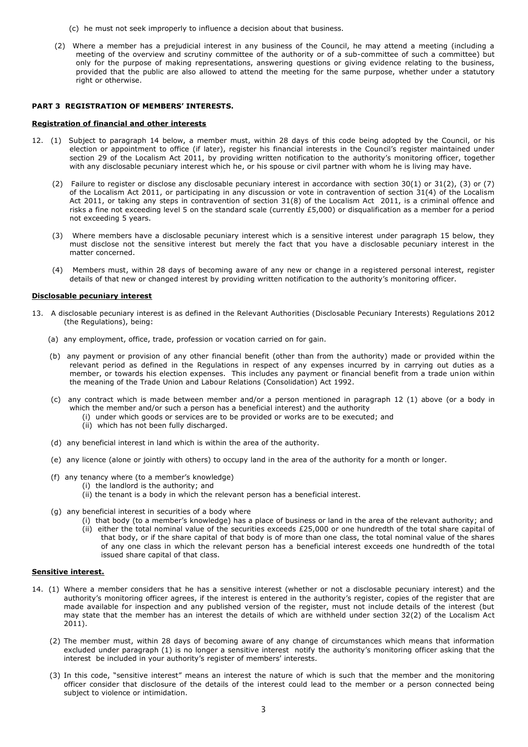- (c) he must not seek improperly to influence a decision about that business.
- (2) Where a member has a prejudicial interest in any business of the Council, he may attend a meeting (including a meeting of the overview and scrutiny committee of the authority or of a sub-committee of such a committee) but only for the purpose of making representations, answering questions or giving evidence relating to the business, provided that the public are also allowed to attend the meeting for the same purpose, whether under a statutory right or otherwise.

#### **PART 3 REGISTRATION OF MEMBERS' INTERESTS.**

#### **Registration of financial and other interests**

- 12. (1) Subject to paragraph 14 below, a member must, within 28 days of this code being adopted by the Council, or his election or appointment to office (if later), register his financial interests in the Council's register maintained under section 29 of the Localism Act 2011, by providing written notification to the authority's monitoring officer, together with any disclosable pecuniary interest which he, or his spouse or civil partner with whom he is living may have.
	- (2) Failure to register or disclose any disclosable pecuniary interest in accordance with section 30(1) or 31(2), (3) or (7) of the Localism Act 2011, or participating in any discussion or vote in contravention of section 31(4) of the Localism Act 2011, or taking any steps in contravention of section 31(8) of the Localism Act 2011, is a criminal offence and risks a fine not exceeding level 5 on the standard scale (currently £5,000) or disqualification as a member for a period not exceeding 5 years.
	- (3) Where members have a disclosable pecuniary interest which is a sensitive interest under paragraph 15 below, they must disclose not the sensitive interest but merely the fact that you have a disclosable pecuniary interest in the matter concerned.
	- (4) Members must, within 28 days of becoming aware of any new or change in a registered personal interest, register details of that new or changed interest by providing written notification to the authority's monitoring officer.

#### **Disclosable pecuniary interest**

- 13. A disclosable pecuniary interest is as defined in the Relevant Authorities (Disclosable Pecuniary Interests) Regulations 2012 (the Regulations), being:
	- (a) any employment, office, trade, profession or vocation carried on for gain.
	- (b) any payment or provision of any other financial benefit (other than from the authority) made or provided within the relevant period as defined in the Regulations in respect of any expenses incurred by in carrying out duties as a member, or towards his election expenses. This includes any payment or financial benefit from a trade union within the meaning of the Trade Union and Labour Relations (Consolidation) Act 1992.
	- (c) any contract which is made between member and/or a person mentioned in paragraph 12 (1) above (or a body in which the member and/or such a person has a beneficial interest) and the authority
		- (i) under which goods or services are to be provided or works are to be executed; and
		- (ii) which has not been fully discharged.
	- (d) any beneficial interest in land which is within the area of the authority.
	- (e) any licence (alone or jointly with others) to occupy land in the area of the authority for a month or longer.
	- (f) any tenancy where (to a member's knowledge)
		- (i) the landlord is the authority; and
		- (ii) the tenant is a body in which the relevant person has a beneficial interest.
	- (g) any beneficial interest in securities of a body where
		- (i) that body (to a member's knowledge) has a place of business or land in the area of the relevant authority; and (ii) either the total nominal value of the securities exceeds £25,000 or one hundredth of the total share capital of
			- that body, or if the share capital of that body is of more than one class, the total nominal value of the shares of any one class in which the relevant person has a beneficial interest exceeds one hundredth of the total issued share capital of that class.

## **Sensitive interest.**

- 14. (1) Where a member considers that he has a sensitive interest (whether or not a disclosable pecuniary interest) and the authority's monitoring officer agrees, if the interest is entered in the authority's register, copies of the register that are made available for inspection and any published version of the register, must not include details of the interest (but may state that the member has an interest the details of which are withheld under section 32(2) of the Localism Act 2011).
	- (2) The member must, within 28 days of becoming aware of any change of circumstances which means that information excluded under paragraph (1) is no longer a sensitive interest notify the authority's monitoring officer asking that the interest be included in your authority's register of members' interests.
	- (3) In this code, "sensitive interest" means an interest the nature of which is such that the member and the monitoring officer consider that disclosure of the details of the interest could lead to the member or a person connected being subject to violence or intimidation.